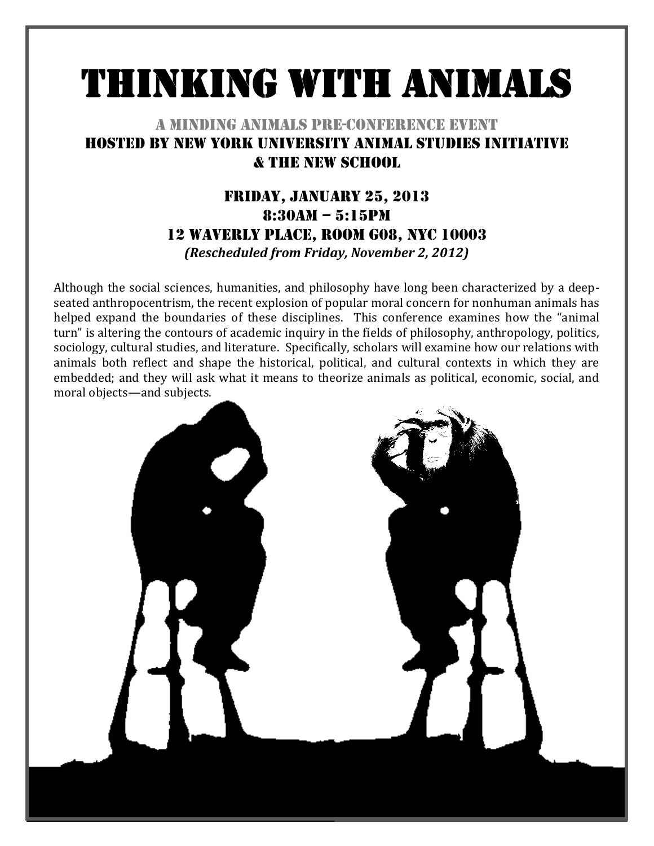# Thinking with Animals

## A Minding Animals Pre-Conference Event Hosted by New York University Animal Studies Initiative & The New School

## Friday, January 25, 2013 8:30am – 5:15pm 12 Waverly Place, Room G08, NYC 10003 *(Rescheduled from Friday, November 2, 2012)*

Although the social sciences, humanities, and philosophy have long been characterized by a deepseated anthropocentrism, the recent explosion of popular moral concern for nonhuman animals has helped expand the boundaries of these disciplines. This conference examines how the "animal turn" is altering the contours of academic inquiry in the fields of philosophy, anthropology, politics, sociology, cultural studies, and literature. Specifically, scholars will examine how our relations with animals both reflect and shape the historical, political, and cultural contexts in which they are embedded; and they will ask what it means to theorize animals as political, economic, social, and moral objects—and subjects.

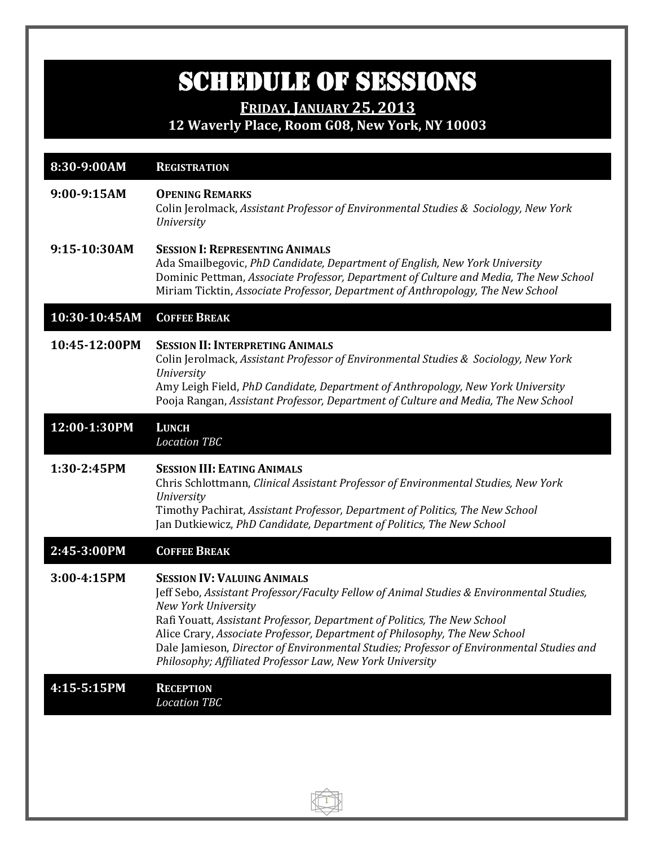## SCHEDULE OF SESSIONS

**FRIDAY, JANUARY 25, 2013**

**12 Waverly Place, Room G08, New York, NY 10003**

| 8:30-9:00AM   | <b>REGISTRATION</b>                                                                                                                                                                                                                                                                                                                                                                                                                                                             |
|---------------|---------------------------------------------------------------------------------------------------------------------------------------------------------------------------------------------------------------------------------------------------------------------------------------------------------------------------------------------------------------------------------------------------------------------------------------------------------------------------------|
| 9:00-9:15AM   | <b>OPENING REMARKS</b><br>Colin Jerolmack, Assistant Professor of Environmental Studies & Sociology, New York<br>University                                                                                                                                                                                                                                                                                                                                                     |
| 9:15-10:30AM  | <b>SESSION I: REPRESENTING ANIMALS</b><br>Ada Smailbegovic, PhD Candidate, Department of English, New York University<br>Dominic Pettman, Associate Professor, Department of Culture and Media, The New School<br>Miriam Ticktin, Associate Professor, Department of Anthropology, The New School                                                                                                                                                                               |
| 10:30-10:45AM | <b>COFFEE BREAK</b>                                                                                                                                                                                                                                                                                                                                                                                                                                                             |
| 10:45-12:00PM | <b>SESSION II: INTERPRETING ANIMALS</b><br>Colin Jerolmack, Assistant Professor of Environmental Studies & Sociology, New York<br><b>University</b><br>Amy Leigh Field, PhD Candidate, Department of Anthropology, New York University<br>Pooja Rangan, Assistant Professor, Department of Culture and Media, The New School                                                                                                                                                    |
| 12:00-1:30PM  | <b>LUNCH</b><br><b>Location TBC</b>                                                                                                                                                                                                                                                                                                                                                                                                                                             |
| 1:30-2:45PM   | <b>SESSION III: EATING ANIMALS</b><br>Chris Schlottmann, Clinical Assistant Professor of Environmental Studies, New York<br><b>University</b><br>Timothy Pachirat, Assistant Professor, Department of Politics, The New School<br>Jan Dutkiewicz, PhD Candidate, Department of Politics, The New School                                                                                                                                                                         |
| 2:45-3:00PM   | <b>COFFEE BREAK</b>                                                                                                                                                                                                                                                                                                                                                                                                                                                             |
| 3:00-4:15PM   | <b>SESSION IV: VALUING ANIMALS</b><br>Jeff Sebo, Assistant Professor/Faculty Fellow of Animal Studies & Environmental Studies,<br><b>New York University</b><br>Rafi Youatt, Assistant Professor, Department of Politics, The New School<br>Alice Crary, Associate Professor, Department of Philosophy, The New School<br>Dale Jamieson, Director of Environmental Studies; Professor of Environmental Studies and<br>Philosophy; Affiliated Professor Law, New York University |
| 4:15-5:15PM   | <b>RECEPTION</b><br><b>Location TBC</b>                                                                                                                                                                                                                                                                                                                                                                                                                                         |
|               |                                                                                                                                                                                                                                                                                                                                                                                                                                                                                 |

 $\bigcap$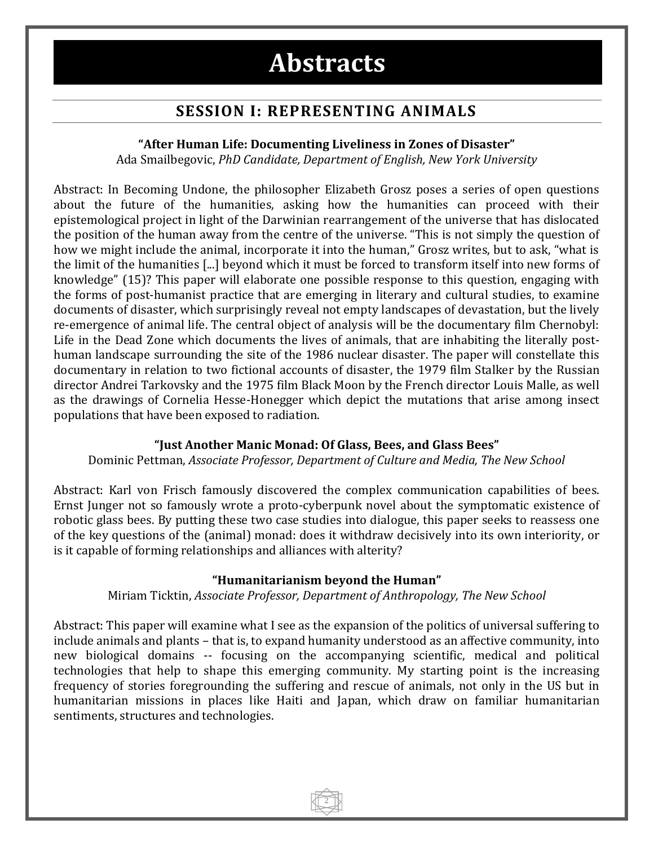## **Abstracts**

## **SESSION I: REPRESENTING ANIMALS**

#### **"After Human Life: Documenting Liveliness in Zones of Disaster"**

Ada Smailbegovic, *PhD Candidate, Department of English, New York University*

Abstract: In Becoming Undone, the philosopher Elizabeth Grosz poses a series of open questions about the future of the humanities, asking how the humanities can proceed with their epistemological project in light of the Darwinian rearrangement of the universe that has dislocated the position of the human away from the centre of the universe. "This is not simply the question of how we might include the animal, incorporate it into the human," Grosz writes, but to ask, "what is the limit of the humanities [...] beyond which it must be forced to transform itself into new forms of knowledge" (15)? This paper will elaborate one possible response to this question, engaging with the forms of post-humanist practice that are emerging in literary and cultural studies, to examine documents of disaster, which surprisingly reveal not empty landscapes of devastation, but the lively re-emergence of animal life. The central object of analysis will be the documentary film Chernobyl: Life in the Dead Zone which documents the lives of animals, that are inhabiting the literally posthuman landscape surrounding the site of the 1986 nuclear disaster. The paper will constellate this documentary in relation to two fictional accounts of disaster, the 1979 film Stalker by the Russian director Andrei Tarkovsky and the 1975 film Black Moon by the French director Louis Malle, as well as the drawings of Cornelia Hesse-Honegger which depict the mutations that arise among insect populations that have been exposed to radiation.

#### **"Just Another Manic Monad: Of Glass, Bees, and Glass Bees"**

Dominic Pettman, *Associate Professor, Department of Culture and Media, The New School*

Abstract: Karl von Frisch famously discovered the complex communication capabilities of bees. Ernst Junger not so famously wrote a proto-cyberpunk novel about the symptomatic existence of robotic glass bees. By putting these two case studies into dialogue, this paper seeks to reassess one of the key questions of the (animal) monad: does it withdraw decisively into its own interiority, or is it capable of forming relationships and alliances with alterity?

#### **"Humanitarianism beyond the Human"**

Miriam Ticktin, *Associate Professor, Department of Anthropology, The New School*

Abstract: This paper will examine what I see as the expansion of the politics of universal suffering to include animals and plants – that is, to expand humanity understood as an affective community, into new biological domains -- focusing on the accompanying scientific, medical and political technologies that help to shape this emerging community. My starting point is the increasing frequency of stories foregrounding the suffering and rescue of animals, not only in the US but in humanitarian missions in places like Haiti and Japan, which draw on familiar humanitarian sentiments, structures and technologies.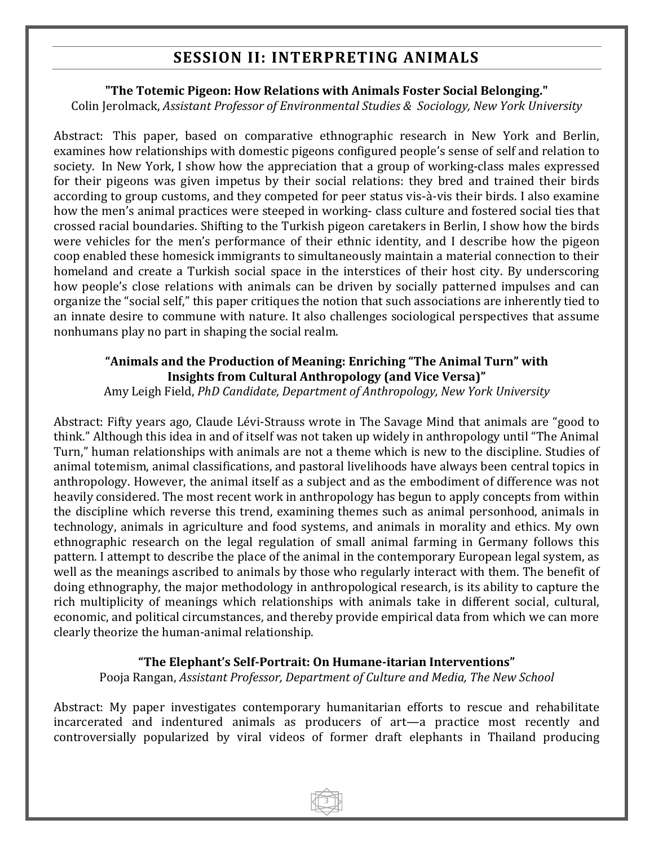## **SESSION II: INTERPRETING ANIMALS**

#### **"The Totemic Pigeon: How Relations with Animals Foster Social Belonging."**

Colin Jerolmack, *Assistant Professor of Environmental Studies & Sociology, New York University*

Abstract: This paper, based on comparative ethnographic research in New York and Berlin, examines how relationships with domestic pigeons configured people's sense of self and relation to society. In New York, I show how the appreciation that a group of working-class males expressed for their pigeons was given impetus by their social relations: they bred and trained their birds according to group customs, and they competed for peer status vis-à-vis their birds. I also examine how the men's animal practices were steeped in working- class culture and fostered social ties that crossed racial boundaries. Shifting to the Turkish pigeon caretakers in Berlin, I show how the birds were vehicles for the men's performance of their ethnic identity, and I describe how the pigeon coop enabled these homesick immigrants to simultaneously maintain a material connection to their homeland and create a Turkish social space in the interstices of their host city. By underscoring how people's close relations with animals can be driven by socially patterned impulses and can organize the "social self," this paper critiques the notion that such associations are inherently tied to an innate desire to commune with nature. It also challenges sociological perspectives that assume nonhumans play no part in shaping the social realm.

#### **"Animals and the Production of Meaning: Enriching "The Animal Turn" with Insights from Cultural Anthropology (and Vice Versa)"**

Amy Leigh Field, *PhD Candidate, Department of Anthropology, New York University*

Abstract: Fifty years ago, Claude Lévi-Strauss wrote in The Savage Mind that animals are "good to think." Although this idea in and of itself was not taken up widely in anthropology until "The Animal Turn," human relationships with animals are not a theme which is new to the discipline. Studies of animal totemism, animal classifications, and pastoral livelihoods have always been central topics in anthropology. However, the animal itself as a subject and as the embodiment of difference was not heavily considered. The most recent work in anthropology has begun to apply concepts from within the discipline which reverse this trend, examining themes such as animal personhood, animals in technology, animals in agriculture and food systems, and animals in morality and ethics. My own ethnographic research on the legal regulation of small animal farming in Germany follows this pattern. I attempt to describe the place of the animal in the contemporary European legal system, as well as the meanings ascribed to animals by those who regularly interact with them. The benefit of doing ethnography, the major methodology in anthropological research, is its ability to capture the rich multiplicity of meanings which relationships with animals take in different social, cultural, economic, and political circumstances, and thereby provide empirical data from which we can more clearly theorize the human-animal relationship.

#### **"The Elephant's Self-Portrait: On Humane-itarian Interventions"**

Pooja Rangan, *Assistant Professor, Department of Culture and Media, The New School*

Abstract: My paper investigates contemporary humanitarian efforts to rescue and rehabilitate incarcerated and indentured animals as producers of art—a practice most recently and controversially popularized by viral videos of former draft elephants in Thailand producing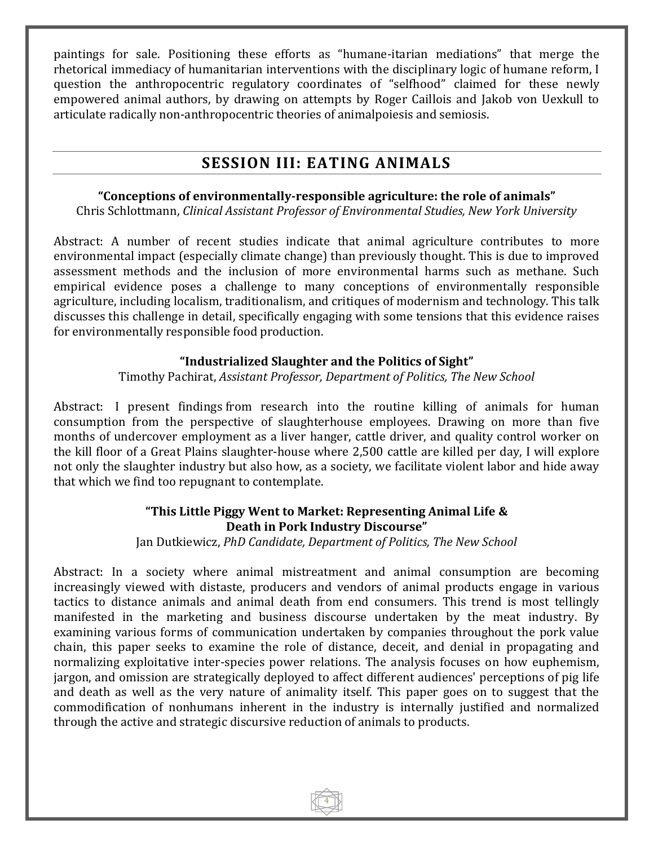paintings for sale. Positioning these efforts as "humane-itarian mediations" that merge the rhetorical immediacy of humanitarian interventions with the disciplinary logic of humane reform, I question the anthropocentric regulatory coordinates of "selfhood" claimed for these newly empowered animal authors, by drawing on attempts by Roger Caillois and Jakob von Uexkull to articulate radically non-anthropocentric theories of animalpoiesis and semiosis.

## **SESSION III: EATING ANIMALS**

#### **"Conceptions of environmentally-responsible agriculture: the role of animals"**

Chris Schlottmann, *Clinical Assistant Professor of Environmental Studies, New York University*

Abstract: A number of recent studies indicate that animal agriculture contributes to more environmental impact (especially climate change) than previously thought. This is due to improved assessment methods and the inclusion of more environmental harms such as methane. Such empirical evidence poses a challenge to many conceptions of environmentally responsible agriculture, including localism, traditionalism, and critiques of modernism and technology. This talk discusses this challenge in detail, specifically engaging with some tensions that this evidence raises for environmentally responsible food production.

#### **"Industrialized Slaughter and the Politics of Sight"**

Timothy Pachirat, *Assistant Professor, Department of Politics, The New School*

Abstract: I present findings from research into the routine killing of animals for human consumption from the perspective of slaughterhouse employees. Drawing on more than five months of undercover employment as a liver hanger, cattle driver, and quality control worker on the kill floor of a Great Plains slaughter-house where 2,500 cattle are killed per day, I will explore not only the slaughter industry but also how, as a society, we facilitate violent labor and hide away that which we find too repugnant to contemplate.

#### **"This Little Piggy Went to Market: Representing Animal Life & Death in Pork Industry Discourse"**

Jan Dutkiewicz, *PhD Candidate, Department of Politics, The New School*

Abstract: In a society where animal mistreatment and animal consumption are becoming increasingly viewed with distaste, producers and vendors of animal products engage in various tactics to distance animals and animal death from end consumers. This trend is most tellingly manifested in the marketing and business discourse undertaken by the meat industry. By examining various forms of communication undertaken by companies throughout the pork value chain, this paper seeks to examine the role of distance, deceit, and denial in propagating and normalizing exploitative inter-species power relations. The analysis focuses on how euphemism, jargon, and omission are strategically deployed to affect different audiences' perceptions of pig life and death as well as the very nature of animality itself. This paper goes on to suggest that the commodification of nonhumans inherent in the industry is internally justified and normalized through the active and strategic discursive reduction of animals to products.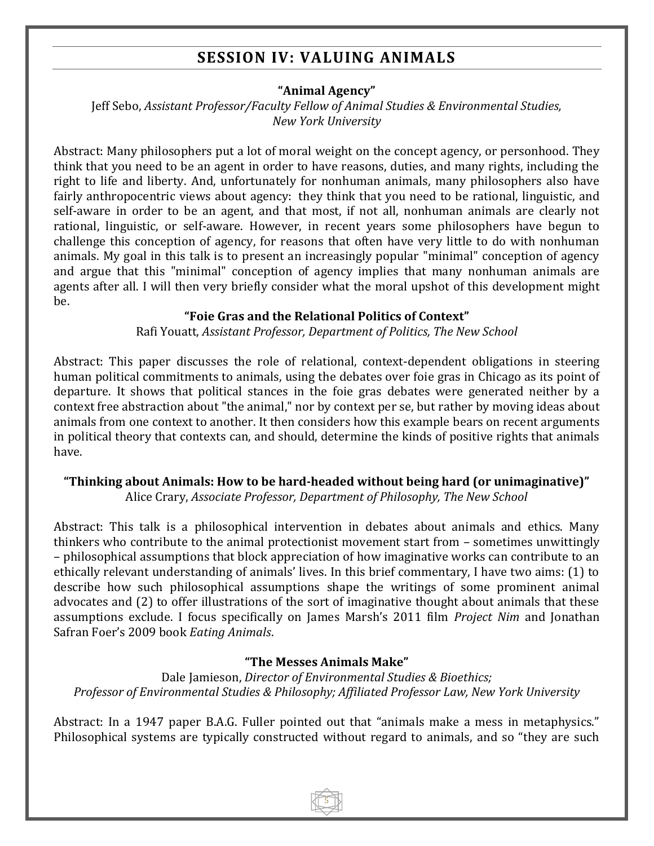## **SESSION IV: VALUING ANIMALS**

#### **"Animal Agency"**

Jeff Sebo, *Assistant Professor/Faculty Fellow of Animal Studies & Environmental Studies, New York University*

Abstract: Many philosophers put a lot of moral weight on the concept agency, or personhood. They think that you need to be an agent in order to have reasons, duties, and many rights, including the right to life and liberty. And, unfortunately for nonhuman animals, many philosophers also have fairly anthropocentric views about agency: they think that you need to be rational, linguistic, and self-aware in order to be an agent, and that most, if not all, nonhuman animals are clearly not rational, linguistic, or self-aware. However, in recent years some philosophers have begun to challenge this conception of agency, for reasons that often have very little to do with nonhuman animals. My goal in this talk is to present an increasingly popular "minimal" conception of agency and argue that this "minimal" conception of agency implies that many nonhuman animals are agents after all. I will then very briefly consider what the moral upshot of this development might be.

#### **"Foie Gras and the Relational Politics of Context"**

Rafi Youatt, *Assistant Professor, Department of Politics, The New School*

Abstract: This paper discusses the role of relational, context-dependent obligations in steering human political commitments to animals, using the debates over foie gras in Chicago as its point of departure. It shows that political stances in the foie gras debates were generated neither by a context free abstraction about "the animal," nor by context per se, but rather by moving ideas about animals from one context to another. It then considers how this example bears on recent arguments in political theory that contexts can, and should, determine the kinds of positive rights that animals have.

#### **"Thinking about Animals: How to be hard-headed without being hard (or unimaginative)"**

Alice Crary, *Associate Professor, Department of Philosophy, The New School*

Abstract: This talk is a philosophical intervention in debates about animals and ethics. Many thinkers who contribute to the animal protectionist movement start from – sometimes unwittingly – philosophical assumptions that block appreciation of how imaginative works can contribute to an ethically relevant understanding of animals' lives. In this brief commentary, I have two aims: (1) to describe how such philosophical assumptions shape the writings of some prominent animal advocates and (2) to offer illustrations of the sort of imaginative thought about animals that these assumptions exclude. I focus specifically on James Marsh's 2011 film *Project Nim* and Jonathan Safran Foer's 2009 book *Eating Animals*.

#### **"The Messes Animals Make"**

Dale Jamieson, *Director of Environmental Studies & Bioethics; Professor of Environmental Studies & Philosophy; Affiliated Professor Law, New York University*

Abstract: In a 1947 paper B.A.G. Fuller pointed out that "animals make a mess in metaphysics." Philosophical systems are typically constructed without regard to animals, and so "they are such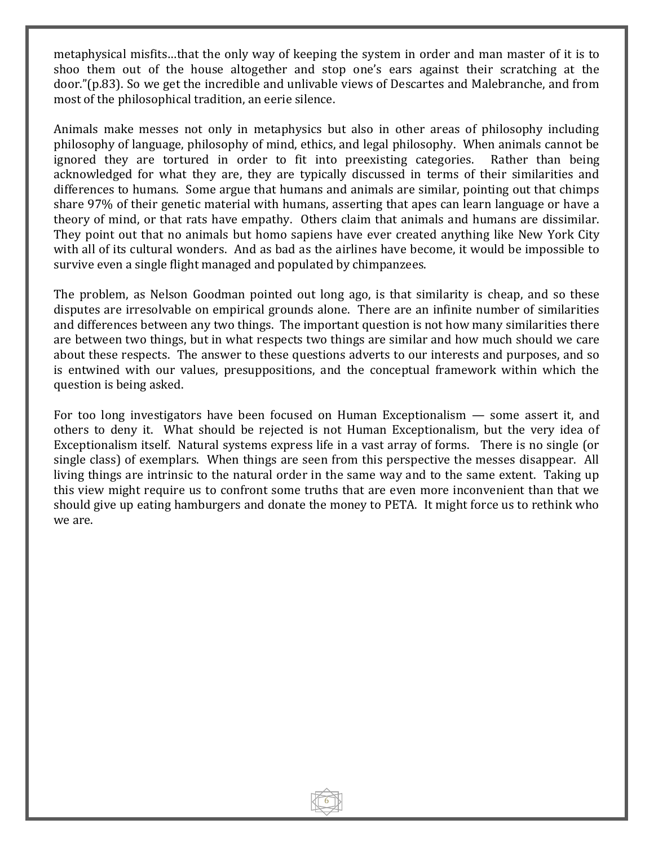metaphysical misfits…that the only way of keeping the system in order and man master of it is to shoo them out of the house altogether and stop one's ears against their scratching at the door."(p.83). So we get the incredible and unlivable views of Descartes and Malebranche, and from most of the philosophical tradition, an eerie silence.

Animals make messes not only in metaphysics but also in other areas of philosophy including philosophy of language, philosophy of mind, ethics, and legal philosophy. When animals cannot be ignored they are tortured in order to fit into preexisting categories. Rather than being acknowledged for what they are, they are typically discussed in terms of their similarities and differences to humans. Some argue that humans and animals are similar, pointing out that chimps share 97% of their genetic material with humans, asserting that apes can learn language or have a theory of mind, or that rats have empathy. Others claim that animals and humans are dissimilar. They point out that no animals but homo sapiens have ever created anything like New York City with all of its cultural wonders. And as bad as the airlines have become, it would be impossible to survive even a single flight managed and populated by chimpanzees.

The problem, as Nelson Goodman pointed out long ago, is that similarity is cheap, and so these disputes are irresolvable on empirical grounds alone. There are an infinite number of similarities and differences between any two things. The important question is not how many similarities there are between two things, but in what respects two things are similar and how much should we care about these respects. The answer to these questions adverts to our interests and purposes, and so is entwined with our values, presuppositions, and the conceptual framework within which the question is being asked.

For too long investigators have been focused on Human Exceptionalism — some assert it, and others to deny it. What should be rejected is not Human Exceptionalism, but the very idea of Exceptionalism itself. Natural systems express life in a vast array of forms. There is no single (or single class) of exemplars. When things are seen from this perspective the messes disappear. All living things are intrinsic to the natural order in the same way and to the same extent. Taking up this view might require us to confront some truths that are even more inconvenient than that we should give up eating hamburgers and donate the money to PETA. It might force us to rethink who we are.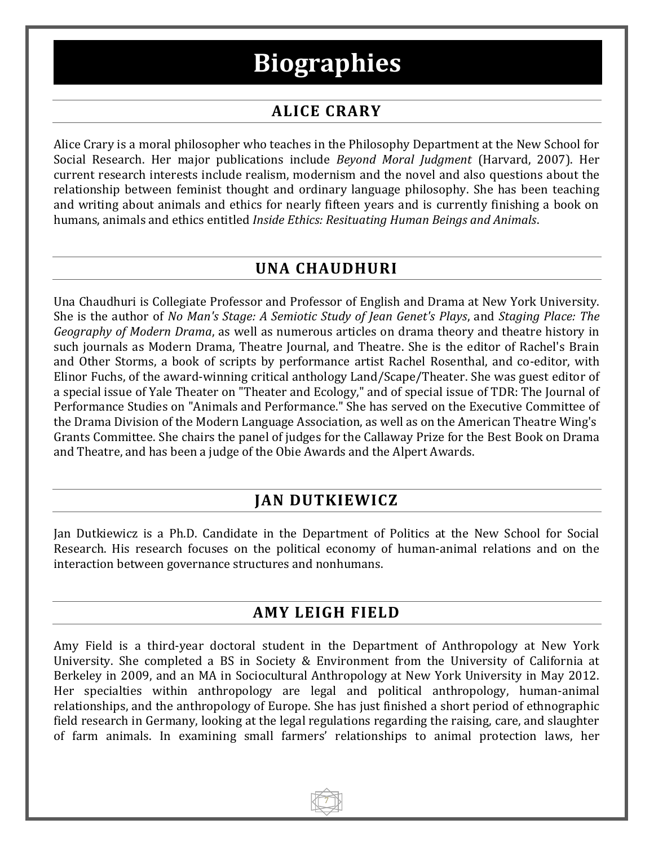## **Biographies**

## **ALICE CRARY**

Alice Crary is a moral philosopher who teaches in the Philosophy Department at the New School for Social Research. Her major publications include *Beyond Moral Judgment* (Harvard, 2007). Her current research interests include realism, modernism and the novel and also questions about the relationship between feminist thought and ordinary language philosophy. She has been teaching and writing about animals and ethics for nearly fifteen years and is currently finishing a book on humans, animals and ethics entitled *Inside Ethics: Resituating Human Beings and Animals*.

## **UNA CHAUDHURI**

Una Chaudhuri is Collegiate Professor and Professor of English and Drama at New York University. She is the author of *No Man's Stage: A Semiotic Study of Jean Genet's Plays*, and *Staging Place: The Geography of Modern Drama*, as well as numerous articles on drama theory and theatre history in such journals as Modern Drama, Theatre Journal, and Theatre. She is the editor of Rachel's Brain and Other Storms, a book of scripts by performance artist Rachel Rosenthal, and co-editor, with Elinor Fuchs, of the award-winning critical anthology Land/Scape/Theater. She was guest editor of a special issue of Yale Theater on "Theater and Ecology," and of special issue of TDR: The Journal of Performance Studies on "Animals and Performance." She has served on the Executive Committee of the Drama Division of the Modern Language Association, as well as on the American Theatre Wing's Grants Committee. She chairs the panel of judges for the Callaway Prize for the Best Book on Drama and Theatre, and has been a judge of the Obie Awards and the Alpert Awards.

## **JAN DUTKIEWICZ**

Jan Dutkiewicz is a Ph.D. Candidate in the Department of Politics at the New School for Social Research. His research focuses on the political economy of human-animal relations and on the interaction between governance structures and nonhumans.

## **AMY LEIGH FIELD**

Amy Field is a third-year doctoral student in the Department of Anthropology at New York University. She completed a BS in Society & Environment from the University of California at Berkeley in 2009, and an MA in Sociocultural Anthropology at New York University in May 2012. Her specialties within anthropology are legal and political anthropology, human-animal relationships, and the anthropology of Europe. She has just finished a short period of ethnographic field research in Germany, looking at the legal regulations regarding the raising, care, and slaughter of farm animals. In examining small farmers' relationships to animal protection laws, her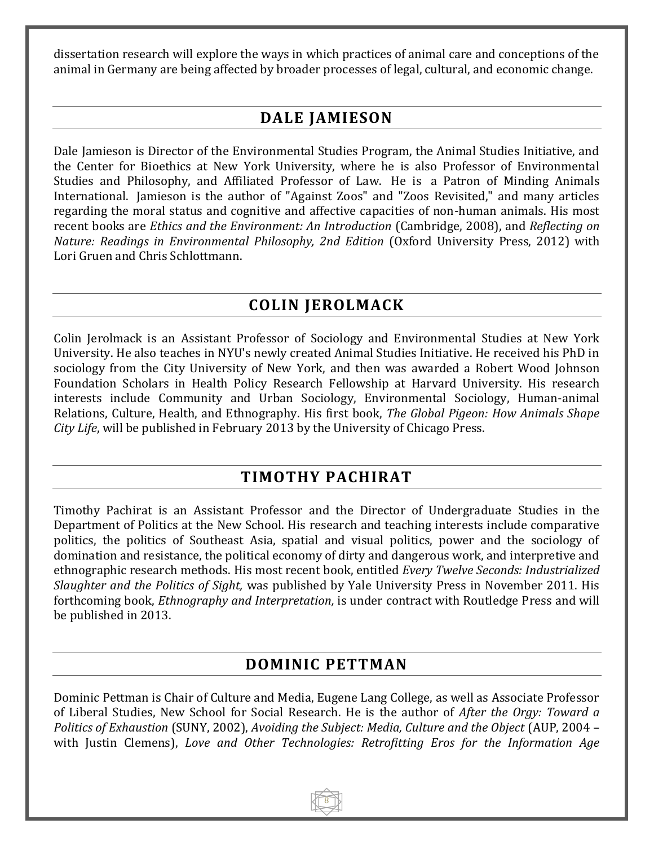dissertation research will explore the ways in which practices of animal care and conceptions of the animal in Germany are being affected by broader processes of legal, cultural, and economic change.

## **DALE JAMIESON**

Dale Jamieson is Director of the Environmental Studies Program, the Animal Studies Initiative, and the Center for Bioethics at New York University, where he is also Professor of Environmental Studies and Philosophy, and Affiliated Professor of Law. He is a Patron of Minding Animals International. Jamieson is the author of "Against Zoos" and "Zoos Revisited," and many articles regarding the moral status and cognitive and affective capacities of non-human animals. His most recent books are *Ethics and the Environment: An Introduction* (Cambridge, 2008), and *Reflecting on Nature: Readings in Environmental Philosophy, 2nd Edition* (Oxford University Press, 2012) with Lori Gruen and Chris Schlottmann.

## **COLIN JEROLMACK**

Colin Jerolmack is an Assistant Professor of Sociology and Environmental Studies at New York University. He also teaches in NYU's newly created Animal Studies Initiative. He received his PhD in sociology from the City University of New York, and then was awarded a Robert Wood Johnson Foundation Scholars in Health Policy Research Fellowship at Harvard University. His research interests include Community and Urban Sociology, Environmental Sociology, Human-animal Relations, Culture, Health, and Ethnography. His first book, *The Global Pigeon: How Animals Shape City Life*, will be published in February 2013 by the University of Chicago Press.

## **TIMOTHY PACHIRAT**

Timothy Pachirat is an Assistant Professor and the Director of Undergraduate Studies in the Department of Politics at the New School. His research and teaching interests include comparative politics, the politics of Southeast Asia, spatial and visual politics, power and the sociology of domination and resistance, the political economy of dirty and dangerous work, and interpretive and ethnographic research methods. His most recent book, entitled *Every Twelve Seconds: Industrialized Slaughter and the Politics of Sight,* was published by Yale University Press in November 2011. His forthcoming book, *Ethnography and Interpretation,* is under contract with Routledge Press and will be published in 2013.

### **DOMINIC PETTMAN**

Dominic Pettman is Chair of Culture and Media, Eugene Lang College, as well as Associate Professor of Liberal Studies, New School for Social Research. He is the author of *After the Orgy: Toward a Politics of Exhaustion* (SUNY, 2002), *Avoiding the Subject: Media, Culture and the Object* (AUP, 2004 – with Justin Clemens), *Love and Other Technologies: Retrofitting Eros for the Information Age*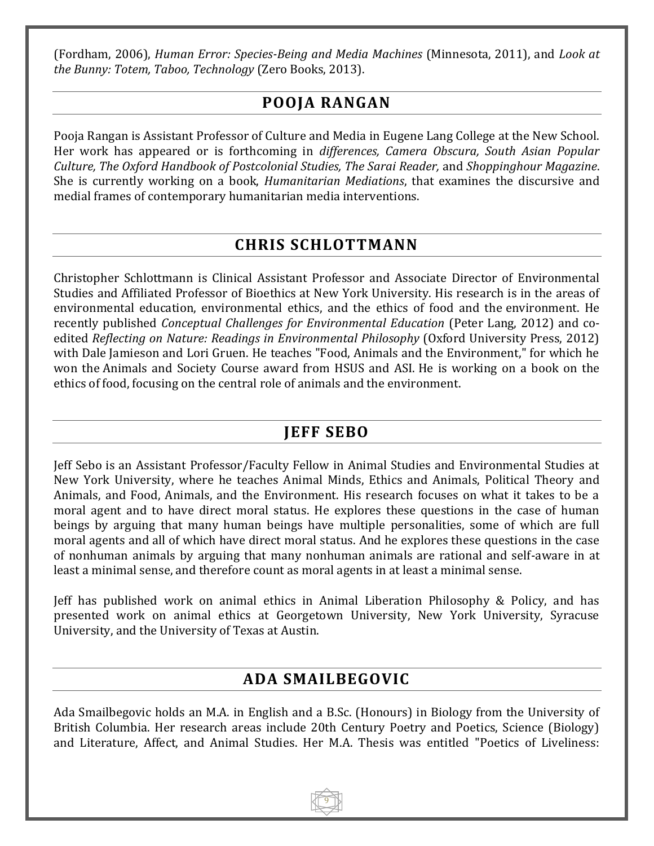(Fordham, 2006), *Human Error: Species-Being and Media Machines* (Minnesota, 2011), and *Look at the Bunny: Totem, Taboo, Technology* (Zero Books, 2013).

## **POOJA RANGAN**

Pooja Rangan is Assistant Professor of Culture and Media in Eugene Lang College at the New School. Her work has appeared or is forthcoming in *differences, Camera Obscura, South Asian Popular Culture, The Oxford Handbook of Postcolonial Studies, The Sarai Reader,* and *Shoppinghour Magazine*. She is currently working on a book, *Humanitarian Mediations*, that examines the discursive and medial frames of contemporary humanitarian media interventions.

## **CHRIS SCHLOTTMANN**

Christopher Schlottmann is Clinical Assistant Professor and Associate Director of Environmental Studies and Affiliated Professor of Bioethics at New York University. His research is in the areas of environmental education, environmental ethics, and the ethics of food and the environment. He recently published *Conceptual Challenges for Environmental Education* (Peter Lang, 2012) and coedited *Reflecting on Nature: Readings in Environmental Philosophy* (Oxford University Press, 2012) with Dale Jamieson and Lori Gruen. He teaches "Food, Animals and the Environment," for which he won the Animals and Society Course award from HSUS and ASI. He is working on a book on the ethics of food, focusing on the central role of animals and the environment.

## **JEFF SEBO**

Jeff Sebo is an Assistant Professor/Faculty Fellow in Animal Studies and Environmental Studies at New York University, where he teaches Animal Minds, Ethics and Animals, Political Theory and Animals, and Food, Animals, and the Environment. His research focuses on what it takes to be a moral agent and to have direct moral status. He explores these questions in the case of human beings by arguing that many human beings have multiple personalities, some of which are full moral agents and all of which have direct moral status. And he explores these questions in the case of nonhuman animals by arguing that many nonhuman animals are rational and self-aware in at least a minimal sense, and therefore count as moral agents in at least a minimal sense.

Jeff has published work on animal ethics in Animal Liberation Philosophy & Policy, and has presented work on animal ethics at Georgetown University, New York University, Syracuse University, and the University of Texas at Austin.

## **ADA SMAILBEGOVIC**

Ada Smailbegovic holds an M.A. in English and a B.Sc. (Honours) in Biology from the University of British Columbia. Her research areas include 20th Century Poetry and Poetics, Science (Biology) and Literature, Affect, and Animal Studies. Her M.A. Thesis was entitled "Poetics of Liveliness: